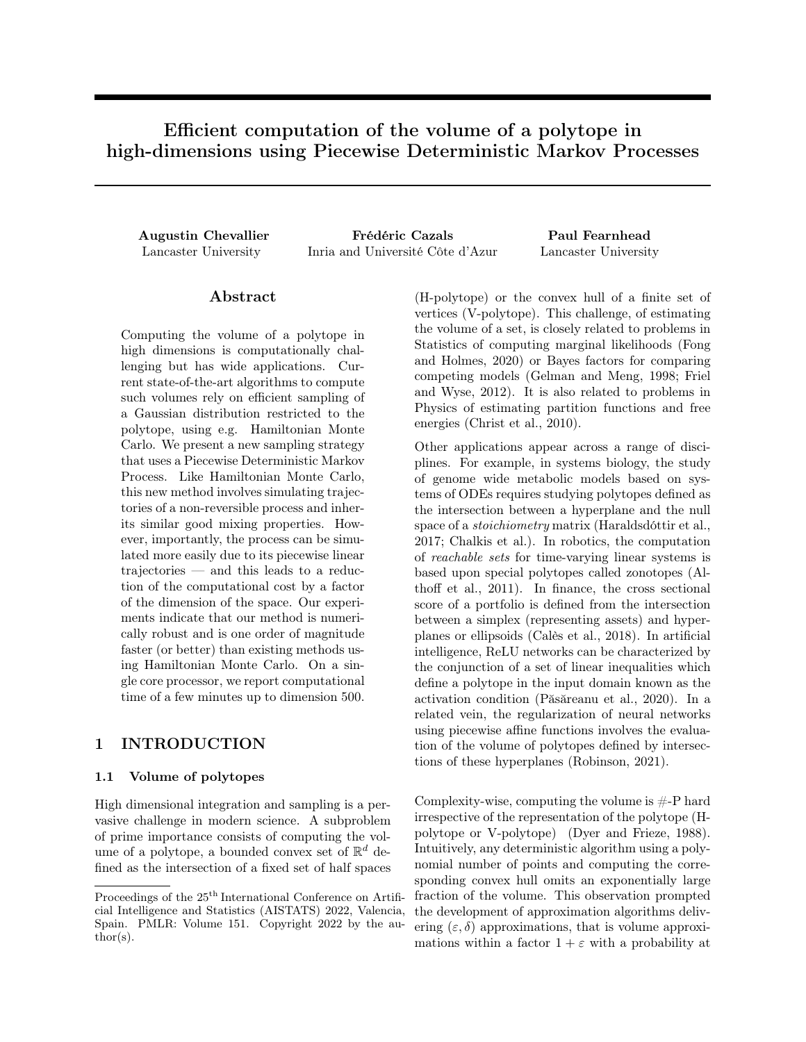# Efficient computation of the volume of a polytope in high-dimensions using Piecewise Deterministic Markov Processes

Augustin Chevallier Frédéric Cazals Paul Fearnhead Lancaster University Inria and Université Côte d'Azur Lancaster University

# Abstract

Computing the volume of a polytope in high dimensions is computationally challenging but has wide applications. Current state-of-the-art algorithms to compute such volumes rely on efficient sampling of a Gaussian distribution restricted to the polytope, using e.g. Hamiltonian Monte Carlo. We present a new sampling strategy that uses a Piecewise Deterministic Markov Process. Like Hamiltonian Monte Carlo, this new method involves simulating trajectories of a non-reversible process and inherits similar good mixing properties. However, importantly, the process can be simulated more easily due to its piecewise linear trajectories — and this leads to a reduction of the computational cost by a factor of the dimension of the space. Our experiments indicate that our method is numerically robust and is one order of magnitude faster (or better) than existing methods using Hamiltonian Monte Carlo. On a single core processor, we report computational time of a few minutes up to dimension 500.

## 1 INTRODUCTION

#### 1.1 Volume of polytopes

High dimensional integration and sampling is a pervasive challenge in modern science. A subproblem of prime importance consists of computing the volume of a polytope, a bounded convex set of  $\mathbb{R}^d$  defined as the intersection of a fixed set of half spaces

(H-polytope) or the convex hull of a finite set of vertices (V-polytope). This challenge, of estimating the volume of a set, is closely related to problems in Statistics of computing marginal likelihoods [\(Fong](#page-9-0) [and Holmes, 2020\)](#page-9-0) or Bayes factors for comparing competing models [\(Gelman and Meng, 1998;](#page-9-1) [Friel](#page-9-2) [and Wyse, 2012\)](#page-9-2). It is also related to problems in Physics of estimating partition functions and free energies [\(Christ et al., 2010\)](#page-9-3).

Other applications appear across a range of disciplines. For example, in systems biology, the study of genome wide metabolic models based on systems of ODEs requires studying polytopes defined as the intersection between a hyperplane and the null space of a stoichiometry matrix [\(Haraldsdóttir et al.,](#page-9-4) [2017;](#page-9-4) [Chalkis et al.\)](#page-8-0). In robotics, the computation of reachable sets for time-varying linear systems is based upon special polytopes called zonotopes [\(Al](#page-8-1)[thoff et al., 2011\)](#page-8-1). In finance, the cross sectional score of a portfolio is defined from the intersection between a simplex (representing assets) and hyperplanes or ellipsoids [\(Calès et al., 2018\)](#page-8-2). In artificial intelligence, ReLU networks can be characterized by the conjunction of a set of linear inequalities which define a polytope in the input domain known as the activation condition [\(Păsăreanu et al., 2020\)](#page-10-0). In a related vein, the regularization of neural networks using piecewise affine functions involves the evaluation of the volume of polytopes defined by intersections of these hyperplanes [\(Robinson, 2021\)](#page-10-1).

Complexity-wise, computing the volume is  $\#$ -P hard irrespective of the representation of the polytope (Hpolytope or V-polytope) [\(Dyer and Frieze, 1988\)](#page-9-5). Intuitively, any deterministic algorithm using a polynomial number of points and computing the corresponding convex hull omits an exponentially large fraction of the volume. This observation prompted the development of approximation algorithms delivering  $(\varepsilon, \delta)$  approximations, that is volume approximations within a factor  $1 + \varepsilon$  with a probability at

Proceedings of the  $25<sup>th</sup>$  International Conference on Artificial Intelligence and Statistics (AISTATS) 2022, Valencia, Spain. PMLR: Volume 151. Copyright 2022 by the author(s).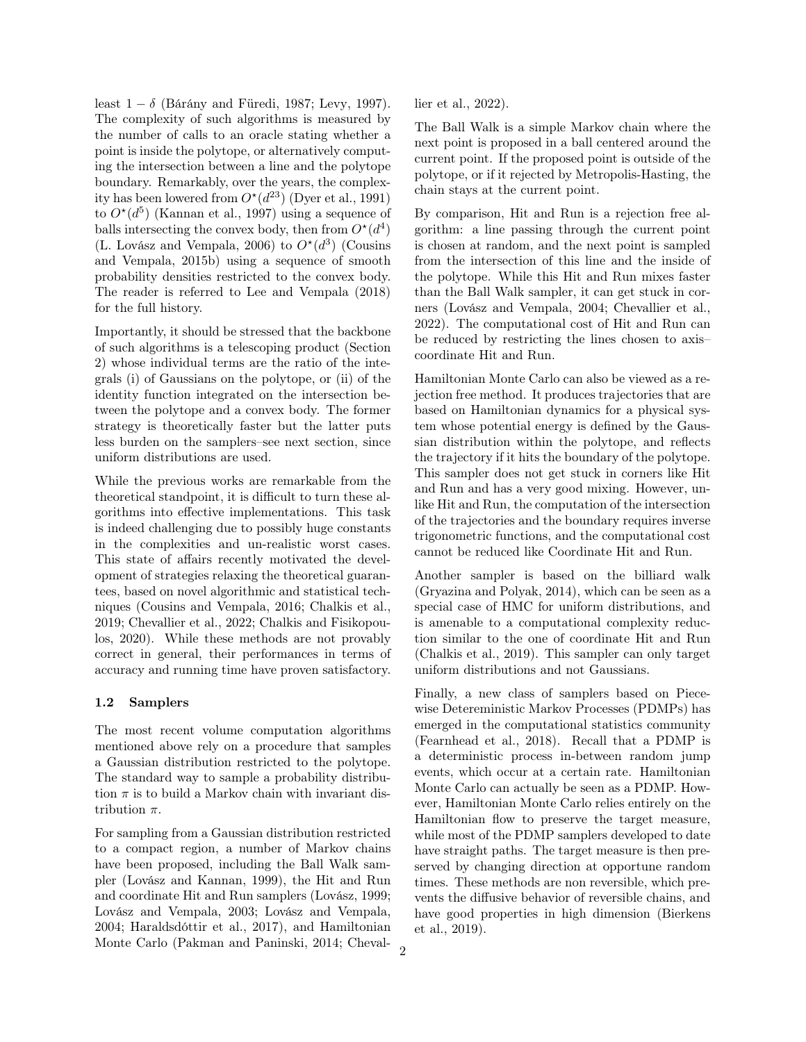least  $1 - \delta$  [\(Bárány and Füredi, 1987;](#page-8-3) [Levy, 1997\)](#page-9-6). The complexity of such algorithms is measured by the number of calls to an oracle stating whether a point is inside the polytope, or alternatively computing the intersection between a line and the polytope boundary. Remarkably, over the years, the complexity has been lowered from  $O^{\star}(d^{23})$  [\(Dyer et al., 1991\)](#page-9-7) to  $O^{\star}(d^5)$  [\(Kannan et al., 1997\)](#page-9-8) using a sequence of balls intersecting the convex body, then from  $O^{\star}(d^4)$ [\(L. Lovász and Vempala, 2006\)](#page-9-9) to  $O^{\star}(d^3)$  [\(Cousins](#page-9-10) [and Vempala, 2015b\)](#page-9-10) using a sequence of smooth probability densities restricted to the convex body. The reader is referred to [Lee and Vempala](#page-9-11) [\(2018\)](#page-9-11) for the full history.

Importantly, it should be stressed that the backbone of such algorithms is a telescoping product (Section [2\)](#page-2-0) whose individual terms are the ratio of the integrals (i) of Gaussians on the polytope, or (ii) of the identity function integrated on the intersection between the polytope and a convex body. The former strategy is theoretically faster but the latter puts less burden on the samplers–see next section, since uniform distributions are used.

While the previous works are remarkable from the theoretical standpoint, it is difficult to turn these algorithms into effective implementations. This task is indeed challenging due to possibly huge constants in the complexities and un-realistic worst cases. This state of affairs recently motivated the development of strategies relaxing the theoretical guarantees, based on novel algorithmic and statistical techniques [\(Cousins and Vempala, 2016;](#page-9-12) [Chalkis et al.,](#page-9-13) [2019;](#page-9-13) [Chevallier et al., 2022;](#page-9-14) [Chalkis and Fisikopou](#page-8-4)[los, 2020\)](#page-8-4). While these methods are not provably correct in general, their performances in terms of accuracy and running time have proven satisfactory.

#### 1.2 Samplers

The most recent volume computation algorithms mentioned above rely on a procedure that samples a Gaussian distribution restricted to the polytope. The standard way to sample a probability distribution  $\pi$  is to build a Markov chain with invariant distribution  $\pi$ .

For sampling from a Gaussian distribution restricted to a compact region, a number of Markov chains have been proposed, including the Ball Walk sampler [\(Lovász and Kannan, 1999\)](#page-9-15), the Hit and Run and coordinate Hit and Run samplers [\(Lovász, 1999;](#page-9-16) [Lovász and Vempala, 2003;](#page-9-17) [Lovász and Vempala,](#page-9-18) [2004;](#page-9-18) [Haraldsdóttir et al., 2017\)](#page-9-4), and Hamiltonian Monte Carlo [\(Pakman and Paninski, 2014;](#page-10-2) [Cheval-](#page-9-14) [lier et al., 2022\)](#page-9-14).

The Ball Walk is a simple Markov chain where the next point is proposed in a ball centered around the current point. If the proposed point is outside of the polytope, or if it rejected by Metropolis-Hasting, the chain stays at the current point.

By comparison, Hit and Run is a rejection free algorithm: a line passing through the current point is chosen at random, and the next point is sampled from the intersection of this line and the inside of the polytope. While this Hit and Run mixes faster than the Ball Walk sampler, it can get stuck in corners [\(Lovász and Vempala, 2004;](#page-9-18) [Chevallier et al.,](#page-9-14) [2022\)](#page-9-14). The computational cost of Hit and Run can be reduced by restricting the lines chosen to axis– coordinate Hit and Run.

Hamiltonian Monte Carlo can also be viewed as a rejection free method. It produces trajectories that are based on Hamiltonian dynamics for a physical system whose potential energy is defined by the Gaussian distribution within the polytope, and reflects the trajectory if it hits the boundary of the polytope. This sampler does not get stuck in corners like Hit and Run and has a very good mixing. However, unlike Hit and Run, the computation of the intersection of the trajectories and the boundary requires inverse trigonometric functions, and the computational cost cannot be reduced like Coordinate Hit and Run.

Another sampler is based on the billiard walk [\(Gryazina and Polyak, 2014\)](#page-9-19), which can be seen as a special case of HMC for uniform distributions, and is amenable to a computational complexity reduction similar to the one of coordinate Hit and Run [\(Chalkis et al., 2019\)](#page-9-13). This sampler can only target uniform distributions and not Gaussians.

Finally, a new class of samplers based on Piecewise Detereministic Markov Processes (PDMPs) has emerged in the computational statistics community [\(Fearnhead et al., 2018\)](#page-9-20). Recall that a PDMP is a deterministic process in-between random jump events, which occur at a certain rate. Hamiltonian Monte Carlo can actually be seen as a PDMP. However, Hamiltonian Monte Carlo relies entirely on the Hamiltonian flow to preserve the target measure, while most of the PDMP samplers developed to date have straight paths. The target measure is then preserved by changing direction at opportune random times. These methods are non reversible, which prevents the diffusive behavior of reversible chains, and have good properties in high dimension [\(Bierkens](#page-8-5) [et al., 2019\)](#page-8-5).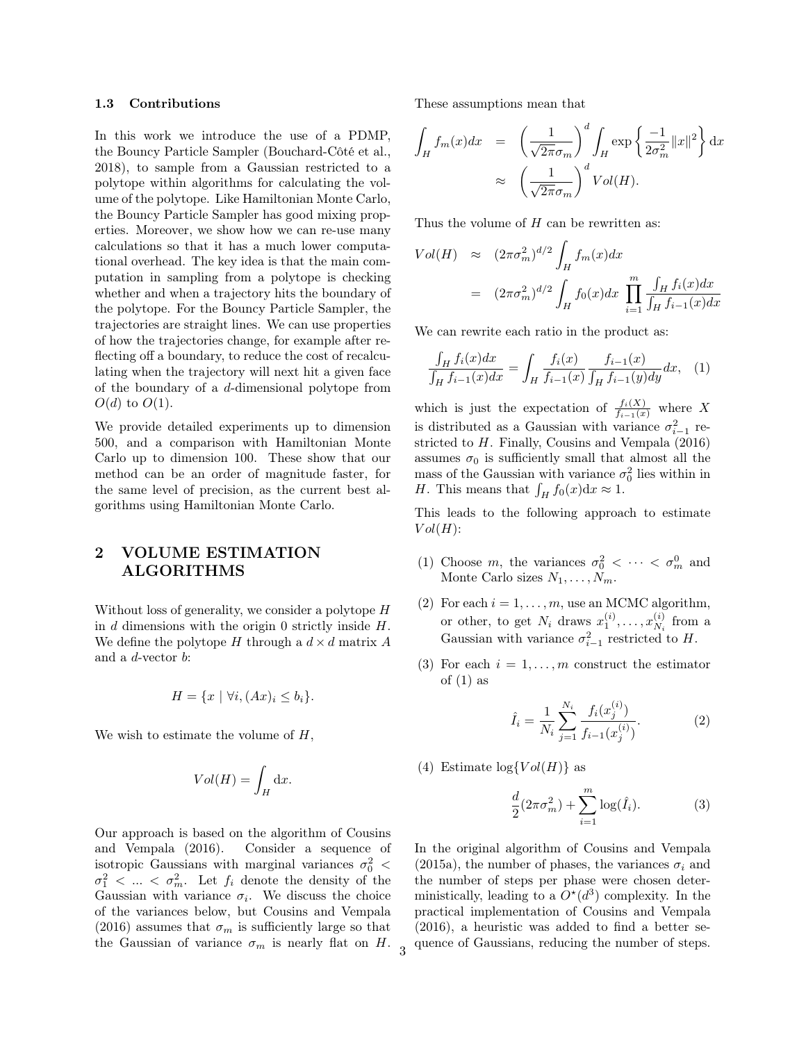#### 1.3 Contributions

In this work we introduce the use of a PDMP, the Bouncy Particle Sampler [\(Bouchard-Côté et al.,](#page-8-6) [2018\)](#page-8-6), to sample from a Gaussian restricted to a polytope within algorithms for calculating the volume of the polytope. Like Hamiltonian Monte Carlo, the Bouncy Particle Sampler has good mixing properties. Moreover, we show how we can re-use many calculations so that it has a much lower computational overhead. The key idea is that the main computation in sampling from a polytope is checking whether and when a trajectory hits the boundary of the polytope. For the Bouncy Particle Sampler, the trajectories are straight lines. We can use properties of how the trajectories change, for example after reflecting off a boundary, to reduce the cost of recalculating when the trajectory will next hit a given face of the boundary of a d-dimensional polytope from  $O(d)$  to  $O(1)$ .

We provide detailed experiments up to dimension 500, and a comparison with Hamiltonian Monte Carlo up to dimension 100. These show that our method can be an order of magnitude faster, for the same level of precision, as the current best algorithms using Hamiltonian Monte Carlo.

# <span id="page-2-0"></span>2 VOLUME ESTIMATION ALGORITHMS

Without loss of generality, we consider a polytope H in  $d$  dimensions with the origin 0 strictly inside  $H$ . We define the polytope H through a  $d \times d$  matrix A and a  $d$ -vector  $b$ :

$$
H = \{x \mid \forall i, (Ax)_i \le b_i\}.
$$

We wish to estimate the volume of  $H$ ,

$$
Vol(H) = \int_H \mathrm{d}x.
$$

Our approach is based on the algorithm of [Cousins](#page-9-12) [and Vempala](#page-9-12) [\(2016\)](#page-9-12). Consider a sequence of isotropic Gaussians with marginal variances  $\sigma_0^2$  <  $\sigma_1^2$  < ... <  $\sigma_m^2$ . Let  $f_i$  denote the density of the Gaussian with variance  $\sigma_i$ . We discuss the choice of the variances below, but [Cousins and Vempala](#page-9-12) [\(2016\)](#page-9-12) assumes that  $\sigma_m$  is sufficiently large so that the Gaussian of variance  $\sigma_m$  is nearly flat on H. These assumptions mean that

$$
\int_H f_m(x) dx = \left(\frac{1}{\sqrt{2\pi}\sigma_m}\right)^d \int_H \exp\left\{\frac{-1}{2\sigma_m^2} ||x||^2\right\} dx
$$

$$
\approx \left(\frac{1}{\sqrt{2\pi}\sigma_m}\right)^d Vol(H).
$$

Thus the volume of  $H$  can be rewritten as:

$$
Vol(H) \approx (2\pi\sigma_m^2)^{d/2} \int_H f_m(x) dx
$$
  
=  $(2\pi\sigma_m^2)^{d/2} \int_H f_0(x) dx \prod_{i=1}^m \frac{\int_H f_i(x) dx}{\int_H f_{i-1}(x) dx}$ 

We can rewrite each ratio in the product as:

<span id="page-2-1"></span>
$$
\frac{\int_H f_i(x)dx}{\int_H f_{i-1}(x)dx} = \int_H \frac{f_i(x)}{f_{i-1}(x)} \frac{f_{i-1}(x)}{\int_H f_{i-1}(y)dy} dx, \quad (1)
$$

which is just the expectation of  $\frac{f_i(X)}{f_{i-1}(x)}$  where X is distributed as a Gaussian with variance  $\sigma_{i-1}^2$  restricted to H. Finally, [Cousins and Vempala](#page-9-12) [\(2016\)](#page-9-12) assumes  $\sigma_0$  is sufficiently small that almost all the mass of the Gaussian with variance  $\sigma_0^2$  lies within in *H*. This means that  $\int_H f_0(x) dx \approx 1$ .

This leads to the following approach to estimate  $Vol(H)$ :

- (1) Choose m, the variances  $\sigma_0^2 < \cdots < \sigma_m^0$  and Monte Carlo sizes  $N_1, \ldots, N_m$ .
- (2) For each  $i = 1, \ldots, m$ , use an MCMC algorithm, or other, to get  $N_i$  draws  $x_1^{(i)}, \ldots, x_{N_i}^{(i)}$  $\chi_i^{(i)}$  from a Gaussian with variance  $\sigma_{i-1}^2$  restricted to H.
- (3) For each  $i = 1, \ldots, m$  construct the estimator of  $(1)$  as

<span id="page-2-2"></span>
$$
\hat{I}_i = \frac{1}{N_i} \sum_{j=1}^{N_i} \frac{f_i(x_j^{(i)})}{f_{i-1}(x_j^{(i)})}.
$$
 (2)

(4) Estimate  $\log\{Vol(H)\}\$ as

<span id="page-2-3"></span>
$$
\frac{d}{2}(2\pi\sigma_m^2) + \sum_{i=1}^m \log(\hat{I}_i). \tag{3}
$$

In the original algorithm of [Cousins and Vempala](#page-9-21) [\(2015a\)](#page-9-21), the number of phases, the variances  $\sigma_i$  and the number of steps per phase were chosen deterministically, leading to a  $O^*(d^3)$  complexity. In the practical implementation of [Cousins and Vempala](#page-9-12) [\(2016\)](#page-9-12), a heuristic was added to find a better sequence of Gaussians, reducing the number of steps.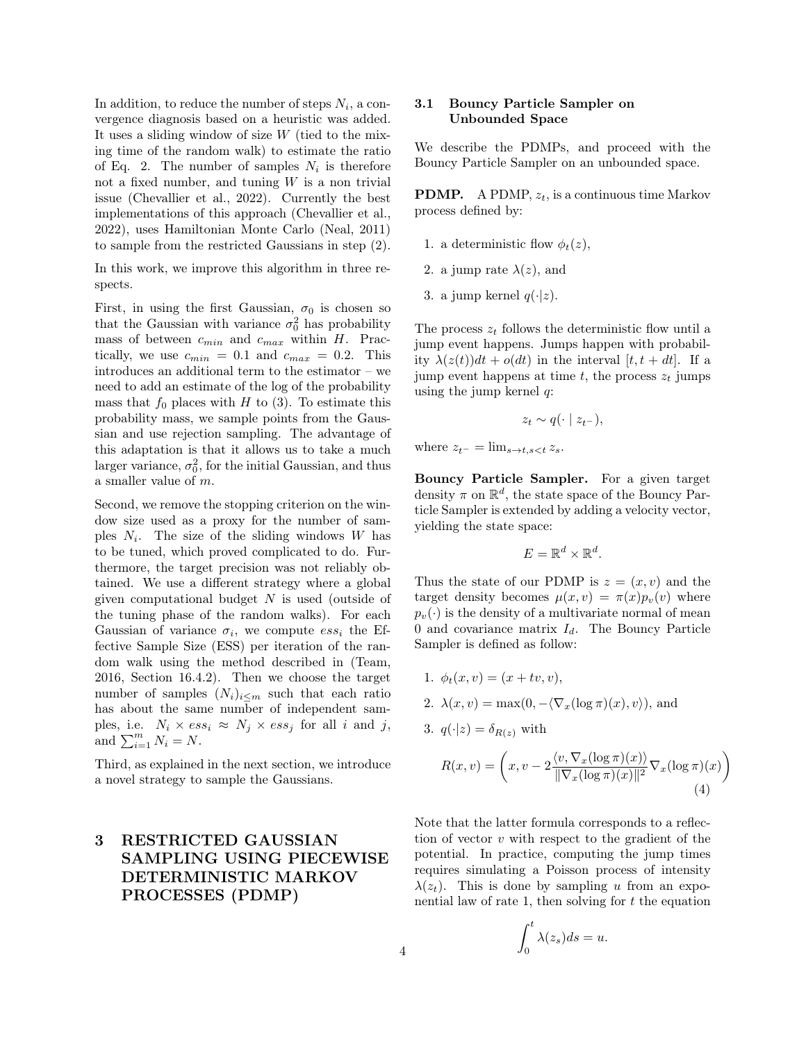In addition, to reduce the number of steps  $N_i$ , a convergence diagnosis based on a heuristic was added. It uses a sliding window of size W (tied to the mixing time of the random walk) to estimate the ratio of Eq. [2.](#page-2-2) The number of samples  $N_i$  is therefore not a fixed number, and tuning  $W$  is a non trivial issue [\(Chevallier et al., 2022\)](#page-9-14). Currently the best implementations of this approach [\(Chevallier et al.,](#page-9-14) [2022\)](#page-9-14), uses Hamiltonian Monte Carlo [\(Neal, 2011\)](#page-10-3) to sample from the restricted Gaussians in step (2).

In this work, we improve this algorithm in three respects.

First, in using the first Gaussian,  $\sigma_0$  is chosen so that the Gaussian with variance  $\sigma_0^2$  has probability mass of between  $c_{min}$  and  $c_{max}$  within H. Practically, we use  $c_{min} = 0.1$  and  $c_{max} = 0.2$ . This introduces an additional term to the estimator – we need to add an estimate of the log of the probability mass that  $f_0$  places with H to [\(3\)](#page-2-3). To estimate this probability mass, we sample points from the Gaussian and use rejection sampling. The advantage of this adaptation is that it allows us to take a much larger variance,  $\sigma_0^2$ , for the initial Gaussian, and thus a smaller value of m.

Second, we remove the stopping criterion on the window size used as a proxy for the number of samples  $N_i$ . The size of the sliding windows W has to be tuned, which proved complicated to do. Furthermore, the target precision was not reliably obtained. We use a different strategy where a global given computational budget  $N$  is used (outside of the tuning phase of the random walks). For each Gaussian of variance  $\sigma_i$ , we compute  $ess_i$  the Effective Sample Size (ESS) per iteration of the random walk using the method described in [\(Team,](#page-10-4) [2016,](#page-10-4) Section 16.4.2). Then we choose the target number of samples  $(N_i)_{i \leq m}$  such that each ratio has about the same number of independent samples, i.e.  $N_i \times ess_i \approx N_j \times ess_j$  for all i and j, and  $\sum_{i=1}^{m} N_i = N$ .

Third, as explained in the next section, we introduce a novel strategy to sample the Gaussians.

# 3 RESTRICTED GAUSSIAN SAMPLING USING PIECEWISE DETERMINISTIC MARKOV PROCESSES (PDMP)

#### 3.1 Bouncy Particle Sampler on Unbounded Space

We describe the PDMPs, and proceed with the Bouncy Particle Sampler on an unbounded space.

**PDMP.** A PDMP,  $z_t$ , is a continuous time Markov process defined by:

- 1. a deterministic flow  $\phi_t(z)$ ,
- 2. a jump rate  $\lambda(z)$ , and
- 3. a jump kernel  $q(\cdot|z)$ .

The process  $z_t$  follows the deterministic flow until a jump event happens. Jumps happen with probability  $\lambda(z(t))dt + o(dt)$  in the interval  $[t, t + dt]$ . If a jump event happens at time t, the process  $z_t$  jumps using the jump kernel  $q$ :

$$
z_t \sim q(\cdot \mid z_{t-}),
$$

where  $z_{t-} = \lim_{s \to t, s < t} z_s$ .

Bouncy Particle Sampler. For a given target density  $\pi$  on  $\mathbb{R}^d$ , the state space of the Bouncy Particle Sampler is extended by adding a velocity vector, yielding the state space:

$$
E = \mathbb{R}^d \times \mathbb{R}^d.
$$

Thus the state of our PDMP is  $z = (x, v)$  and the target density becomes  $\mu(x, v) = \pi(x)p_v(v)$  where  $p_v(\cdot)$  is the density of a multivariate normal of mean 0 and covariance matrix  $I_d$ . The Bouncy Particle Sampler is defined as follow:

- 1.  $\phi_t(x, v) = (x + tv, v),$
- 2.  $\lambda(x, v) = \max(0, -\langle \nabla_x(\log \pi)(x), v \rangle)$ , and

3. 
$$
q(\cdot|z) = \delta_{R(z)}
$$
 with  
\n
$$
R(x, v) = \left(x, v - 2\frac{\langle v, \nabla_x(\log \pi)(x) \rangle}{\|\nabla_x(\log \pi)(x)\|^2} \nabla_x(\log \pi)
$$

<span id="page-3-0"></span>
$$
R(x,v) = \left(x, v - 2\frac{\langle v, \nabla_x(\log \pi)(x) \rangle}{\|\nabla_x(\log \pi)(x)\|^2} \nabla_x(\log \pi)(x)\right)
$$
\n(4)

Note that the latter formula corresponds to a reflection of vector  $v$  with respect to the gradient of the potential. In practice, computing the jump times requires simulating a Poisson process of intensity  $\lambda(z_t)$ . This is done by sampling u from an exponential law of rate 1, then solving for  $t$  the equation

$$
\int_0^t \lambda(z_s)ds = u.
$$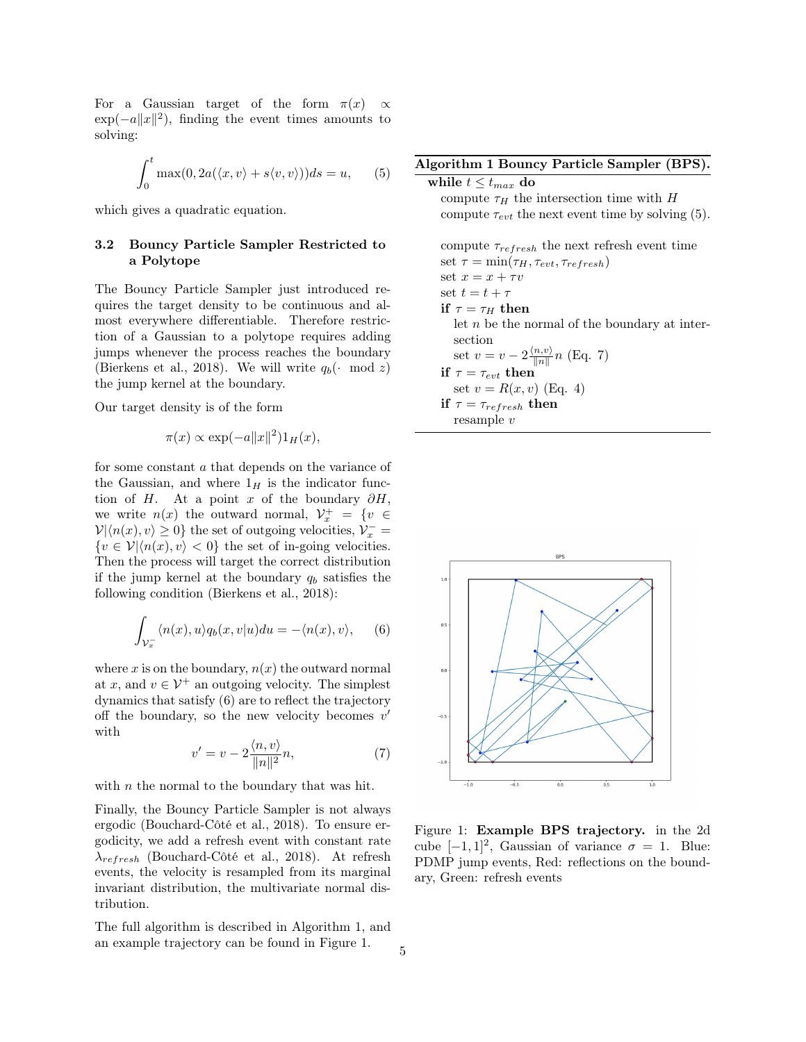For a Gaussian target of the form  $\pi(x) \propto$  $\exp(-a||x||^2)$ , finding the event times amounts to solving:

<span id="page-4-3"></span>
$$
\int_0^t \max(0, 2a(\langle x, v \rangle + s\langle v, v \rangle)) ds = u,
$$
 (5)

which gives a quadratic equation.

## 3.2 Bouncy Particle Sampler Restricted to a Polytope

The Bouncy Particle Sampler just introduced requires the target density to be continuous and almost everywhere differentiable. Therefore restriction of a Gaussian to a polytope requires adding jumps whenever the process reaches the boundary [\(Bierkens et al., 2018\)](#page-8-7). We will write  $q_b(\cdot \mod z)$ the jump kernel at the boundary.

Our target density is of the form

$$
\pi(x) \propto \exp(-a||x||^2)1_H(x),
$$

for some constant a that depends on the variance of the Gaussian, and where  $1_H$  is the indicator function of H. At a point x of the boundary  $\partial H$ , we write  $n(x)$  the outward normal,  $\mathcal{V}_x^+ = \{v \in$  $\mathcal{V}|\langle n(x), v \rangle \geq 0\}$  the set of outgoing velocities,  $\mathcal{V}_x^-$  =  ${v \in \mathcal{V} | \langle n(x), v \rangle < 0}$  the set of in-going velocities. Then the process will target the correct distribution if the jump kernel at the boundary  $q_b$  satisfies the following condition [\(Bierkens et al., 2018\)](#page-8-7):

<span id="page-4-0"></span>
$$
\int_{\mathcal{V}_x^-} \langle n(x), u \rangle q_b(x, v | u) du = -\langle n(x), v \rangle, \qquad (6)
$$

where x is on the boundary,  $n(x)$  the outward normal at x, and  $v \in \mathcal{V}^+$  an outgoing velocity. The simplest dynamics that satisfy [\(6\)](#page-4-0) are to reflect the trajectory off the boundary, so the new velocity becomes  $v'$ with

<span id="page-4-4"></span>
$$
v' = v - 2\frac{\langle n, v \rangle}{\|n\|^2}n,\tag{7}
$$

with  $n$  the normal to the boundary that was hit.

Finally, the Bouncy Particle Sampler is not always ergodic [\(Bouchard-Côté et al., 2018\)](#page-8-6). To ensure ergodicity, we add a refresh event with constant rate  $\lambda_{refresh}$  [\(Bouchard-Côté et al., 2018\)](#page-8-6). At refresh events, the velocity is resampled from its marginal invariant distribution, the multivariate normal distribution.

The full algorithm is described in Algorithm [1,](#page-4-1) and an example trajectory can be found in Figure [1.](#page-4-2)

#### <span id="page-4-1"></span>Algorithm 1 Bouncy Particle Sampler (BPS).

while  $t \leq t_{max}$  do compute  $\tau_H$  the intersection time with H compute  $\tau_{evt}$  the next event time by solving [\(5\)](#page-4-3). compute  $\tau_{refresh}$  the next refresh event time set  $\tau = \min(\tau_H, \tau_{evt}, \tau_{refresh})$ set  $x = x + \tau v$ set  $t = t + \tau$ if  $\tau = \tau_H$  then let  $n$  be the normal of the boundary at intersection set  $v = v - 2 \frac{\langle n, v \rangle}{\|n\|}$  $\frac{n,v}{\|n\|}n$  (Eq. [7\)](#page-4-4) if  $\tau = \tau_{evt}$  then set  $v = R(x, v)$  (Eq. [4\)](#page-3-0) if  $\tau = \tau_{refresh}$  then resample v

<span id="page-4-2"></span>

Figure 1: Example BPS trajectory. in the 2d cube  $[-1, 1]^2$ , Gaussian of variance  $\sigma = 1$ . Blue: PDMP jump events, Red: reflections on the boundary, Green: refresh events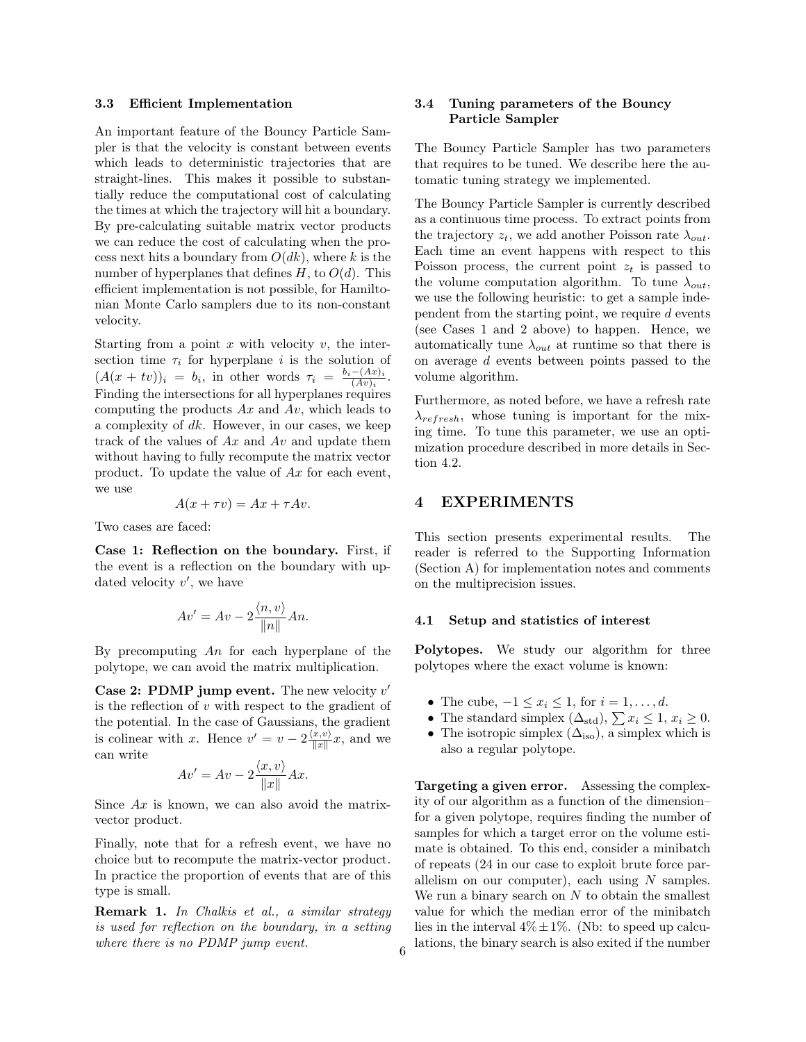#### 3.3 Efficient Implementation

An important feature of the Bouncy Particle Sampler is that the velocity is constant between events which leads to deterministic trajectories that are straight-lines. This makes it possible to substantially reduce the computational cost of calculating the times at which the trajectory will hit a boundary. By pre-calculating suitable matrix vector products we can reduce the cost of calculating when the process next hits a boundary from  $O(dk)$ , where k is the number of hyperplanes that defines  $H$ , to  $O(d)$ . This efficient implementation is not possible, for Hamiltonian Monte Carlo samplers due to its non-constant velocity.

Starting from a point x with velocity  $v$ , the intersection time  $\tau_i$  for hyperplane i is the solution of  $(A(x + tv))_i = b_i$ , in other words  $\tau_i = \frac{b_i - (Ax)_i}{(Ay)_i}$  $\frac{-(Ax)_i}{(Av)_i}$ . Finding the intersections for all hyperplanes requires computing the products  $Ax$  and  $Av$ , which leads to a complexity of dk. However, in our cases, we keep track of the values of  $Ax$  and  $Av$  and update them without having to fully recompute the matrix vector product. To update the value of Ax for each event, we use

$$
A(x + \tau v) = Ax + \tau Av.
$$

Two cases are faced:

Case 1: Reflection on the boundary. First, if the event is a reflection on the boundary with updated velocity  $v'$ , we have

$$
Av' = Av - 2\frac{\langle n, v \rangle}{\|n\|} An.
$$

By precomputing  $An$  for each hyperplane of the polytope, we can avoid the matrix multiplication.

Case 2: PDMP jump event. The new velocity  $v'$ is the reflection of  $v$  with respect to the gradient of the potential. In the case of Gaussians, the gradient is colinear with x. Hence  $v' = v - 2 \frac{\langle x, v \rangle}{\|x\|}$  $\frac{x,v}{\|x\|}x$ , and we can write

$$
Av' = Av - 2\frac{\langle x, v \rangle}{\|x\|}Ax.
$$

Since  $Ax$  is known, we can also avoid the matrixvector product.

Finally, note that for a refresh event, we have no choice but to recompute the matrix-vector product. In practice the proportion of events that are of this type is small.

Remark 1. In [Chalkis et al.,](#page-8-0) a similar strategy is used for reflection on the boundary, in a setting where there is no PDMP jump event.

### 3.4 Tuning parameters of the Bouncy Particle Sampler

The Bouncy Particle Sampler has two parameters that requires to be tuned. We describe here the automatic tuning strategy we implemented.

The Bouncy Particle Sampler is currently described as a continuous time process. To extract points from the trajectory  $z_t$ , we add another Poisson rate  $\lambda_{out}$ . Each time an event happens with respect to this Poisson process, the current point  $z_t$  is passed to the volume computation algorithm. To tune  $\lambda_{out}$ , we use the following heuristic: to get a sample independent from the starting point, we require  $d$  events (see Cases 1 and 2 above) to happen. Hence, we automatically tune  $\lambda_{out}$  at runtime so that there is on average d events between points passed to the volume algorithm.

Furthermore, as noted before, we have a refresh rate  $\lambda_{refresh}$ , whose tuning is important for the mixing time. To tune this parameter, we use an optimization procedure described in more details in Section [4.2.](#page-6-0)

#### <span id="page-5-0"></span>4 EXPERIMENTS

This section presents experimental results. The reader is referred to the Supporting Information (Section [A\)](#page-11-0) for implementation notes and comments on the multiprecision issues.

#### 4.1 Setup and statistics of interest

Polytopes. We study our algorithm for three polytopes where the exact volume is known:

- The cube,  $-1 \leq x_i \leq 1$ , for  $i = 1, \ldots, d$ .
- The standard simplex  $(\Delta_{\text{std}}), \sum x_i \leq 1, x_i \geq 0$ .
- The isotropic simplex  $(\Delta_{\text{iso}})$ , a simplex which is also a regular polytope.

Targeting a given error. Assessing the complexity of our algorithm as a function of the dimension– for a given polytope, requires finding the number of samples for which a target error on the volume estimate is obtained. To this end, consider a minibatch of repeats (24 in our case to exploit brute force parallelism on our computer), each using  $N$  samples. We run a binary search on  $N$  to obtain the smallest value for which the median error of the minibatch lies in the interval  $4\% \pm 1\%$ . (Nb: to speed up calculations, the binary search is also exited if the number <sup>6</sup>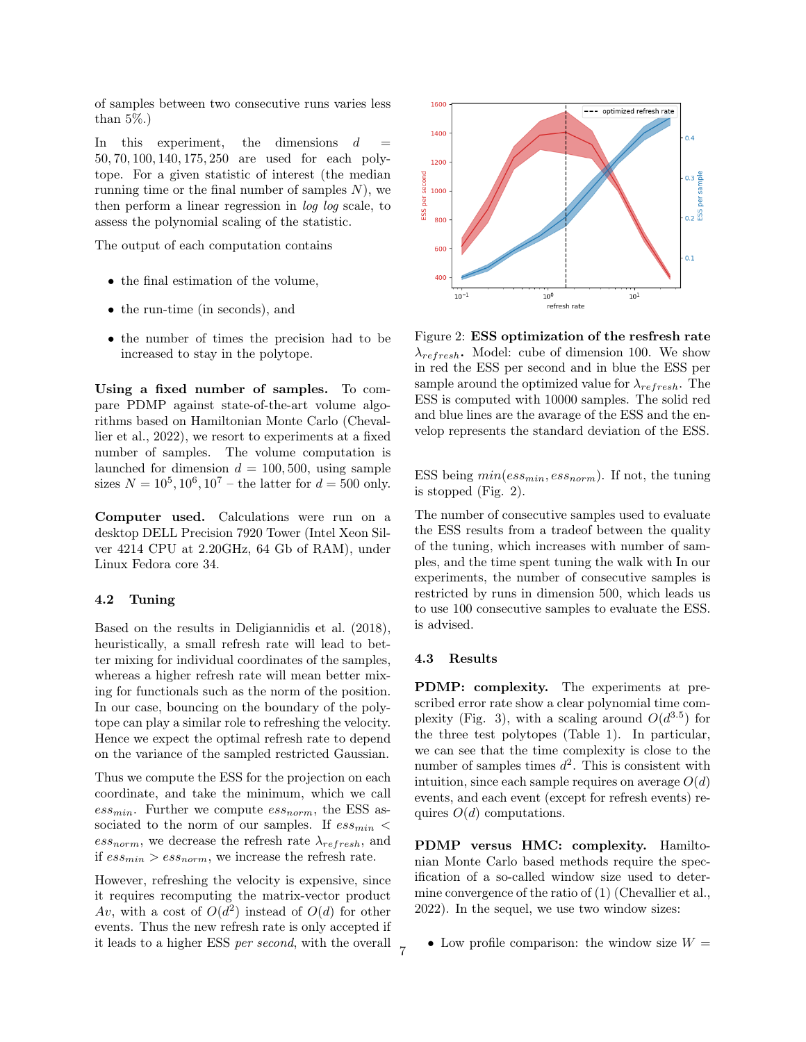of samples between two consecutive runs varies less than 5%.)

In this experiment, the dimensions  $d$ 50, 70, 100, 140, 175, 250 are used for each polytope. For a given statistic of interest (the median running time or the final number of samples  $N$ ), we then perform a linear regression in log log scale, to assess the polynomial scaling of the statistic.

The output of each computation contains

- the final estimation of the volume,
- the run-time (in seconds), and
- the number of times the precision had to be increased to stay in the polytope.

Using a fixed number of samples. To compare PDMP against state-of-the-art volume algorithms based on Hamiltonian Monte Carlo [\(Cheval](#page-9-14)[lier et al., 2022\)](#page-9-14), we resort to experiments at a fixed number of samples. The volume computation is launched for dimension  $d = 100, 500$ , using sample sizes  $N = 10^5, 10^6, 10^7$  – the latter for  $d = 500$  only.

Computer used. Calculations were run on a desktop DELL Precision 7920 Tower (Intel Xeon Silver 4214 CPU at 2.20GHz, 64 Gb of RAM), under Linux Fedora core 34.

#### <span id="page-6-0"></span>4.2 Tuning

Based on the results in [Deligiannidis et al.](#page-9-22) [\(2018\)](#page-9-22), heuristically, a small refresh rate will lead to better mixing for individual coordinates of the samples, whereas a higher refresh rate will mean better mixing for functionals such as the norm of the position. In our case, bouncing on the boundary of the polytope can play a similar role to refreshing the velocity. Hence we expect the optimal refresh rate to depend on the variance of the sampled restricted Gaussian.

Thus we compute the ESS for the projection on each coordinate, and take the minimum, which we call  $ess_{min}$ . Further we compute  $ess_{norm}$ , the ESS associated to the norm of our samples. If  $ess_{min}$  <  $ess_{norm}$ , we decrease the refresh rate  $\lambda_{refresh}$ , and if  $ess_{min} > ess_{norm}$ , we increase the refresh rate.

However, refreshing the velocity is expensive, since it requires recomputing the matrix-vector product Av, with a cost of  $O(d^2)$  instead of  $O(d)$  for other events. Thus the new refresh rate is only accepted if it leads to a higher ESS per second, with the overall

<span id="page-6-1"></span>

Figure 2: ESS optimization of the resfresh rate  $\lambda_{refresh}$ . Model: cube of dimension 100. We show in red the ESS per second and in blue the ESS per sample around the optimized value for  $\lambda_{refresh}$ . The ESS is computed with 10000 samples. The solid red and blue lines are the avarage of the ESS and the envelop represents the standard deviation of the ESS.

ESS being  $min(ess_{min}, ess_{norm})$ . If not, the tuning is stopped (Fig. [2\)](#page-6-1).

The number of consecutive samples used to evaluate the ESS results from a tradeof between the quality of the tuning, which increases with number of samples, and the time spent tuning the walk with In our experiments, the number of consecutive samples is restricted by runs in dimension 500, which leads us to use 100 consecutive samples to evaluate the ESS. is advised.

#### <span id="page-6-2"></span>4.3 Results

7

PDMP: complexity. The experiments at prescribed error rate show a clear polynomial time com-plexity (Fig. [3\)](#page-7-0), with a scaling around  $O(d^{3.5})$  for the three test polytopes (Table [1\)](#page-7-1). In particular, we can see that the time complexity is close to the number of samples times  $d^2$ . This is consistent with intuition, since each sample requires on average  $O(d)$ events, and each event (except for refresh events) requires  $O(d)$  computations.

PDMP versus HMC: complexity. Hamiltonian Monte Carlo based methods require the specification of a so-called window size used to determine convergence of the ratio of [\(1\)](#page-2-1) [\(Chevallier et al.,](#page-9-14) [2022\)](#page-9-14). In the sequel, we use two window sizes:

• Low profile comparison: the window size  $W =$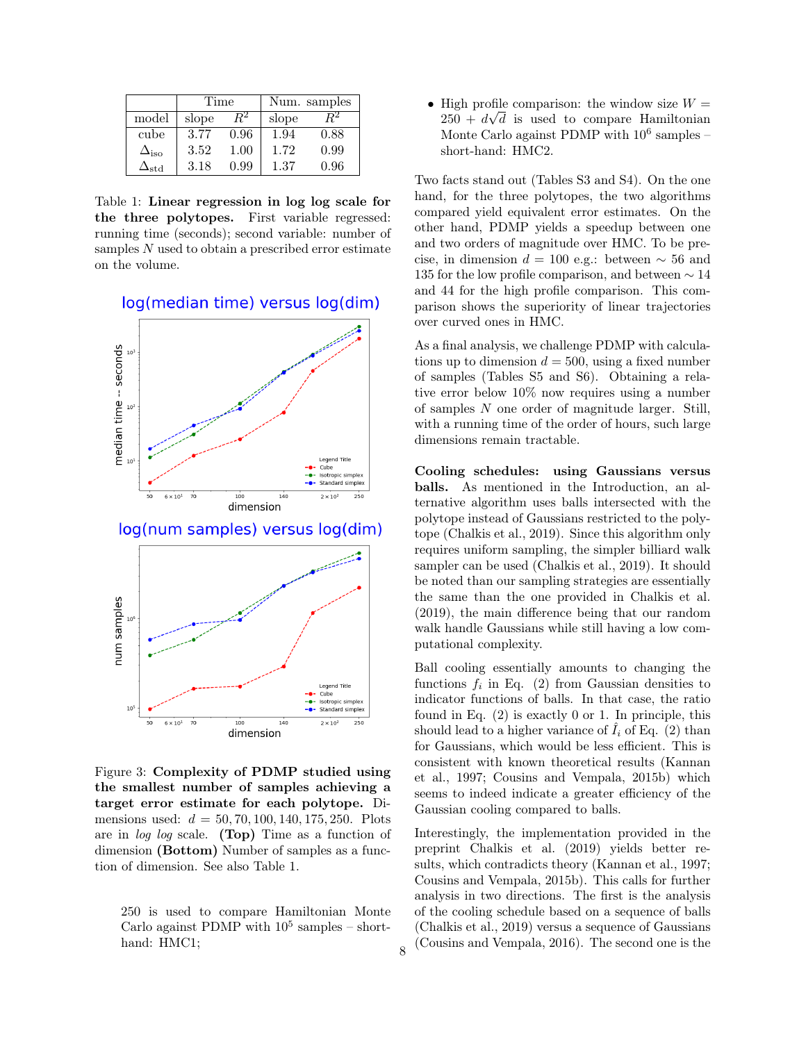<span id="page-7-1"></span>

|                             | Time  |      | Num. samples |      |  |  |
|-----------------------------|-------|------|--------------|------|--|--|
| model                       | slope |      | slope        |      |  |  |
| cube                        | 3.77  | 0.96 | 1.94         | 0.88 |  |  |
| $\Delta_{\rm iso}$          | 3.52  | 1.00 | 1.72         | 0.99 |  |  |
| $\mathbf{A}_{\mathrm{std}}$ | 3.18  | 0.99 | 1.37         | 0.96 |  |  |

Table 1: Linear regression in log log scale for the three polytopes. First variable regressed: running time (seconds); second variable: number of samples N used to obtain a prescribed error estimate on the volume.

## <span id="page-7-0"></span>log(median time) versus log(dim)



Figure 3: Complexity of PDMP studied using the smallest number of samples achieving a target error estimate for each polytope. Dimensions used:  $d = 50, 70, 100, 140, 175, 250$ . Plots are in log log scale. (Top) Time as a function of dimension (Bottom) Number of samples as a function of dimension. See also Table [1.](#page-7-1)

250 is used to compare Hamiltonian Monte Carlo against PDMP with  $10^5$  samples – shorthand: HMC1;

• High profile comparison: the window size  $W =$  $250 + d\sqrt{d}$  is used to compare Hamiltonian Monte Carlo against PDMP with  $10^6$  samples – short-hand: HMC2.

Two facts stand out (Tables [S3](#page-13-0) and [S4\)](#page-13-1). On the one hand, for the three polytopes, the two algorithms compared yield equivalent error estimates. On the other hand, PDMP yields a speedup between one and two orders of magnitude over HMC. To be precise, in dimension  $d = 100$  e.g.: between  $\sim 56$  and 135 for the low profile comparison, and between ∼ 14 and 44 for the high profile comparison. This comparison shows the superiority of linear trajectories over curved ones in HMC.

As a final analysis, we challenge PDMP with calculations up to dimension  $d = 500$ , using a fixed number of samples (Tables [S5](#page-14-0) and [S6\)](#page-14-1). Obtaining a relative error below 10% now requires using a number of samples N one order of magnitude larger. Still, with a running time of the order of hours, such large dimensions remain tractable.

Cooling schedules: using Gaussians versus balls. As mentioned in the Introduction, an alternative algorithm uses balls intersected with the polytope instead of Gaussians restricted to the polytope [\(Chalkis et al., 2019\)](#page-9-13). Since this algorithm only requires uniform sampling, the simpler billiard walk sampler can be used [\(Chalkis et al., 2019\)](#page-9-13). It should be noted than our sampling strategies are essentially the same than the one provided in [Chalkis et al.](#page-9-13) [\(2019\)](#page-9-13), the main difference being that our random walk handle Gaussians while still having a low computational complexity.

Ball cooling essentially amounts to changing the functions  $f_i$  in Eq. [\(2\)](#page-2-2) from Gaussian densities to indicator functions of balls. In that case, the ratio found in Eq. [\(2\)](#page-2-2) is exactly 0 or 1. In principle, this should lead to a higher variance of  $\hat{I}_i$  of Eq. [\(2\)](#page-2-2) than for Gaussians, which would be less efficient. This is consistent with known theoretical results [\(Kannan](#page-9-8) [et al., 1997;](#page-9-8) [Cousins and Vempala, 2015b\)](#page-9-10) which seems to indeed indicate a greater efficiency of the Gaussian cooling compared to balls.

Interestingly, the implementation provided in the preprint [Chalkis et al.](#page-9-13) [\(2019\)](#page-9-13) yields better results, which contradicts theory [\(Kannan et al., 1997;](#page-9-8) [Cousins and Vempala, 2015b\)](#page-9-10). This calls for further analysis in two directions. The first is the analysis of the cooling schedule based on a sequence of balls [\(Chalkis et al., 2019\)](#page-9-13) versus a sequence of Gaussians  $\langle$  [\(Cousins and Vempala, 2016\)](#page-9-12). The second one is the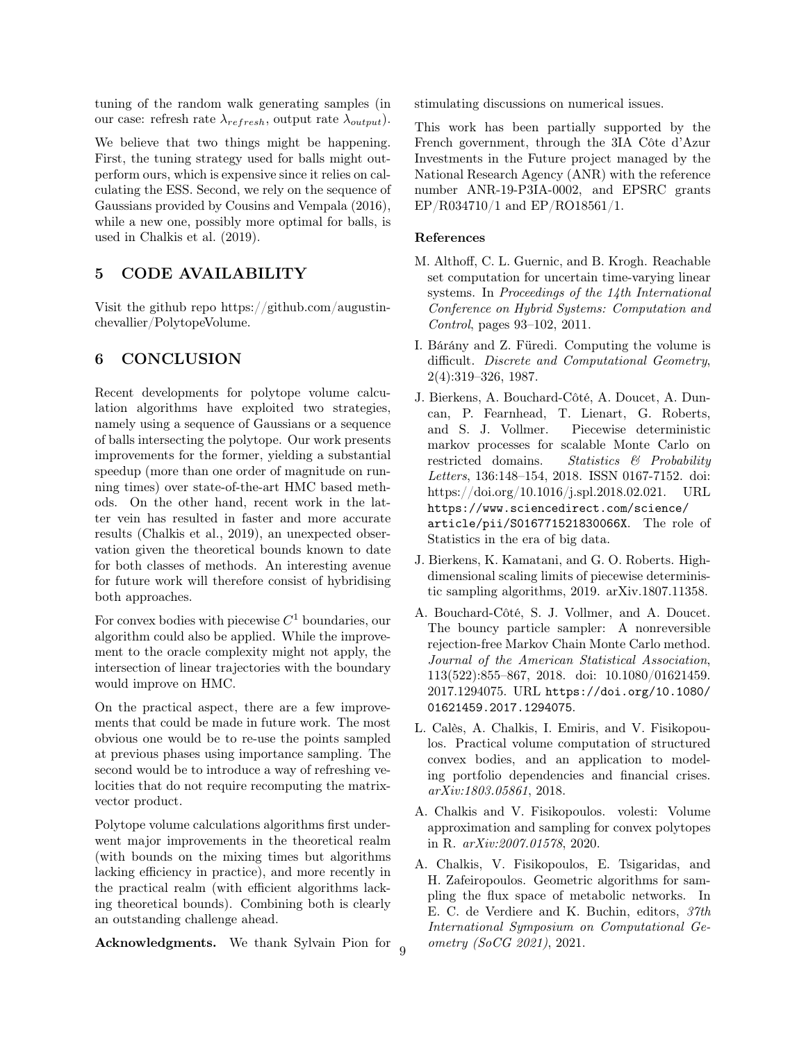tuning of the random walk generating samples (in our case: refresh rate  $\lambda_{refresh}$ , output rate  $\lambda_{output}$ ).

We believe that two things might be happening. First, the tuning strategy used for balls might outperform ours, which is expensive since it relies on calculating the ESS. Second, we rely on the sequence of Gaussians provided by [Cousins and Vempala](#page-9-12) [\(2016\)](#page-9-12), while a new one, possibly more optimal for balls, is used in [Chalkis et al.](#page-9-13) [\(2019\)](#page-9-13).

# 5 CODE AVAILABILITY

Visit the github repo [https://github.com/augustin](https://github.com/augustin-chevallier/PolytopeVolume)[chevallier/PolytopeVolume.](https://github.com/augustin-chevallier/PolytopeVolume)

## 6 CONCLUSION

Recent developments for polytope volume calculation algorithms have exploited two strategies, namely using a sequence of Gaussians or a sequence of balls intersecting the polytope. Our work presents improvements for the former, yielding a substantial speedup (more than one order of magnitude on running times) over state-of-the-art HMC based methods. On the other hand, recent work in the latter vein has resulted in faster and more accurate results [\(Chalkis et al., 2019\)](#page-9-13), an unexpected observation given the theoretical bounds known to date for both classes of methods. An interesting avenue for future work will therefore consist of hybridising both approaches.

For convex bodies with piecewise  $C^1$  boundaries, our algorithm could also be applied. While the improvement to the oracle complexity might not apply, the intersection of linear trajectories with the boundary would improve on HMC.

On the practical aspect, there are a few improvements that could be made in future work. The most obvious one would be to re-use the points sampled at previous phases using importance sampling. The second would be to introduce a way of refreshing velocities that do not require recomputing the matrixvector product.

Polytope volume calculations algorithms first underwent major improvements in the theoretical realm (with bounds on the mixing times but algorithms lacking efficiency in practice), and more recently in the practical realm (with efficient algorithms lacking theoretical bounds). Combining both is clearly an outstanding challenge ahead.

Acknowledgments. We thank Sylvain Pion for

stimulating discussions on numerical issues.

This work has been partially supported by the French government, through the 3IA Côte d'Azur Investments in the Future project managed by the National Research Agency (ANR) with the reference number ANR-19-P3IA-0002, and EPSRC grants EP/R034710/1 and EP/RO18561/1.

#### References

- <span id="page-8-1"></span>M. Althoff, C. L. Guernic, and B. Krogh. Reachable set computation for uncertain time-varying linear systems. In Proceedings of the 14th International Conference on Hybrid Systems: Computation and Control, pages 93–102, 2011.
- <span id="page-8-3"></span>I. Bárány and Z. Füredi. Computing the volume is difficult. Discrete and Computational Geometry, 2(4):319–326, 1987.
- <span id="page-8-7"></span>J. Bierkens, A. Bouchard-Côté, A. Doucet, A. Duncan, P. Fearnhead, T. Lienart, G. Roberts, and S. J. Vollmer. Piecewise deterministic markov processes for scalable Monte Carlo on restricted domains. Statistics & Probability Letters, 136:148–154, 2018. ISSN 0167-7152. doi: https://doi.org/10.1016/j.spl.2018.02.021. URL [https://www.sciencedirect.com/science/](https://www.sciencedirect.com/science/article/pii/S016771521830066X) [article/pii/S016771521830066X](https://www.sciencedirect.com/science/article/pii/S016771521830066X). The role of Statistics in the era of big data.
- <span id="page-8-5"></span>J. Bierkens, K. Kamatani, and G. O. Roberts. Highdimensional scaling limits of piecewise deterministic sampling algorithms, 2019. arXiv.1807.11358.
- <span id="page-8-6"></span>A. Bouchard-Côté, S. J. Vollmer, and A. Doucet. The bouncy particle sampler: A nonreversible rejection-free Markov Chain Monte Carlo method. Journal of the American Statistical Association, 113(522):855–867, 2018. doi: 10.1080/01621459. 2017.1294075. URL [https://doi.org/10.1080/](https://doi.org/10.1080/01621459.2017.1294075) [01621459.2017.1294075](https://doi.org/10.1080/01621459.2017.1294075).
- <span id="page-8-2"></span>L. Calès, A. Chalkis, I. Emiris, and V. Fisikopoulos. Practical volume computation of structured convex bodies, and an application to modeling portfolio dependencies and financial crises. arXiv:1803.05861, 2018.
- <span id="page-8-4"></span>A. Chalkis and V. Fisikopoulos. volesti: Volume approximation and sampling for convex polytopes in R. arXiv:2007.01578, 2020.
- <span id="page-8-0"></span>A. Chalkis, V. Fisikopoulos, E. Tsigaridas, and H. Zafeiropoulos. Geometric algorithms for sampling the flux space of metabolic networks. In E. C. de Verdiere and K. Buchin, editors, 37th International Symposium on Computational Ge $ometry (SoCG 2021), 2021.$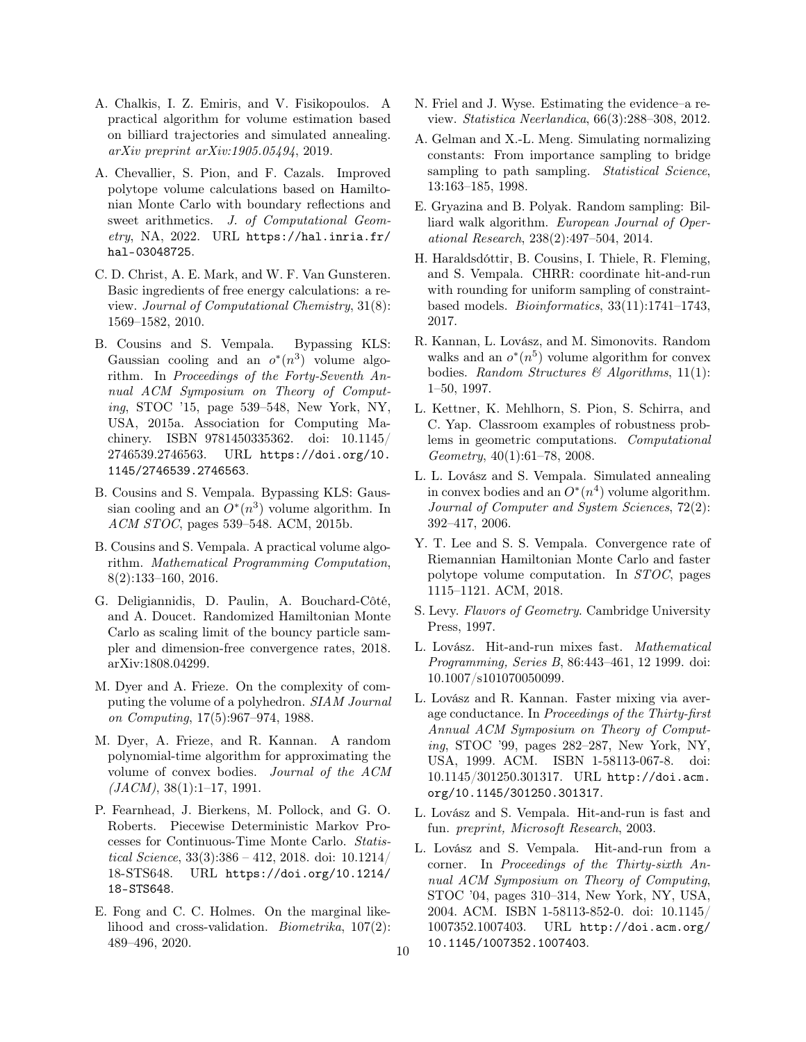- <span id="page-9-13"></span>A. Chalkis, I. Z. Emiris, and V. Fisikopoulos. A practical algorithm for volume estimation based on billiard trajectories and simulated annealing. arXiv preprint arXiv:1905.05494, 2019.
- <span id="page-9-14"></span>A. Chevallier, S. Pion, and F. Cazals. Improved polytope volume calculations based on Hamiltonian Monte Carlo with boundary reflections and sweet arithmetics. J. of Computational Geometry, NA, 2022. URL [https://hal.inria.fr/](https://hal.inria.fr/hal-03048725) [hal-03048725](https://hal.inria.fr/hal-03048725).
- <span id="page-9-3"></span>C. D. Christ, A. E. Mark, and W. F. Van Gunsteren. Basic ingredients of free energy calculations: a review. Journal of Computational Chemistry, 31(8): 1569–1582, 2010.
- <span id="page-9-21"></span>B. Cousins and S. Vempala. Bypassing KLS: Gaussian cooling and an  $o^*(n^3)$  volume algorithm. In Proceedings of the Forty-Seventh Annual ACM Symposium on Theory of Computing, STOC '15, page 539–548, New York, NY, USA, 2015a. Association for Computing Machinery. ISBN 9781450335362. doi: 10.1145/ 2746539.2746563. URL [https://doi.org/10.](https://doi.org/10.1145/2746539.2746563) [1145/2746539.2746563](https://doi.org/10.1145/2746539.2746563).
- <span id="page-9-10"></span>B. Cousins and S. Vempala. Bypassing KLS: Gaussian cooling and an  $O<sup>*</sup>(n<sup>3</sup>)$  volume algorithm. In ACM STOC, pages 539–548. ACM, 2015b.
- <span id="page-9-12"></span>B. Cousins and S. Vempala. A practical volume algorithm. Mathematical Programming Computation, 8(2):133–160, 2016.
- <span id="page-9-22"></span>G. Deligiannidis, D. Paulin, A. Bouchard-Côté, and A. Doucet. Randomized Hamiltonian Monte Carlo as scaling limit of the bouncy particle sampler and dimension-free convergence rates, 2018. arXiv:1808.04299.
- <span id="page-9-5"></span>M. Dyer and A. Frieze. On the complexity of computing the volume of a polyhedron. SIAM Journal on Computing, 17(5):967–974, 1988.
- <span id="page-9-7"></span>M. Dyer, A. Frieze, and R. Kannan. A random polynomial-time algorithm for approximating the volume of convex bodies. Journal of the ACM  $(JACM), 38(1):1-17, 1991.$
- <span id="page-9-20"></span>P. Fearnhead, J. Bierkens, M. Pollock, and G. O. Roberts. Piecewise Deterministic Markov Processes for Continuous-Time Monte Carlo. Statistical Science,  $33(3):386 - 412$ ,  $2018$ . doi:  $10.1214/$ 18-STS648. URL [https://doi.org/10.1214/](https://doi.org/10.1214/18-STS648) [18-STS648](https://doi.org/10.1214/18-STS648).
- <span id="page-9-0"></span>E. Fong and C. C. Holmes. On the marginal likelihood and cross-validation. Biometrika, 107(2): 489–496, 2020.
- <span id="page-9-2"></span>N. Friel and J. Wyse. Estimating the evidence–a review. Statistica Neerlandica, 66(3):288–308, 2012.
- <span id="page-9-1"></span>A. Gelman and X.-L. Meng. Simulating normalizing constants: From importance sampling to bridge sampling to path sampling. Statistical Science, 13:163–185, 1998.
- <span id="page-9-19"></span>E. Gryazina and B. Polyak. Random sampling: Billiard walk algorithm. European Journal of Operational Research, 238(2):497–504, 2014.
- <span id="page-9-4"></span>H. Haraldsdóttir, B. Cousins, I. Thiele, R. Fleming, and S. Vempala. CHRR: coordinate hit-and-run with rounding for uniform sampling of constraintbased models. Bioinformatics, 33(11):1741–1743, 2017.
- <span id="page-9-8"></span>R. Kannan, L. Lovász, and M. Simonovits. Random walks and an  $o^*(n^5)$  volume algorithm for convex bodies. Random Structures & Algorithms,  $11(1)$ : 1–50, 1997.
- <span id="page-9-23"></span>L. Kettner, K. Mehlhorn, S. Pion, S. Schirra, and C. Yap. Classroom examples of robustness problems in geometric computations. Computational Geometry, 40(1):61–78, 2008.
- <span id="page-9-9"></span>L. L. Lovász and S. Vempala. Simulated annealing in convex bodies and an  $O^*(n^4)$  volume algorithm. Journal of Computer and System Sciences, 72(2): 392–417, 2006.
- <span id="page-9-11"></span>Y. T. Lee and S. S. Vempala. Convergence rate of Riemannian Hamiltonian Monte Carlo and faster polytope volume computation. In STOC, pages 1115–1121. ACM, 2018.
- <span id="page-9-6"></span>S. Levy. Flavors of Geometry. Cambridge University Press, 1997.
- <span id="page-9-16"></span>L. Lovász. Hit-and-run mixes fast. Mathematical Programming, Series B, 86:443–461, 12 1999. doi: 10.1007/s101070050099.
- <span id="page-9-15"></span>L. Lovász and R. Kannan. Faster mixing via average conductance. In Proceedings of the Thirty-first Annual ACM Symposium on Theory of Computing, STOC '99, pages 282–287, New York, NY, USA, 1999. ACM. ISBN 1-58113-067-8. doi: 10.1145/301250.301317. URL [http://doi.acm.](http://doi.acm.org/10.1145/301250.301317) [org/10.1145/301250.301317](http://doi.acm.org/10.1145/301250.301317).
- <span id="page-9-17"></span>L. Lovász and S. Vempala. Hit-and-run is fast and fun. preprint, Microsoft Research, 2003.
- <span id="page-9-18"></span>L. Lovász and S. Vempala. Hit-and-run from a corner. In Proceedings of the Thirty-sixth Annual ACM Symposium on Theory of Computing, STOC '04, pages 310–314, New York, NY, USA, 2004. ACM. ISBN 1-58113-852-0. doi: 10.1145/ 1007352.1007403. URL [http://doi.acm.org/](http://doi.acm.org/10.1145/1007352.1007403) [10.1145/1007352.1007403](http://doi.acm.org/10.1145/1007352.1007403).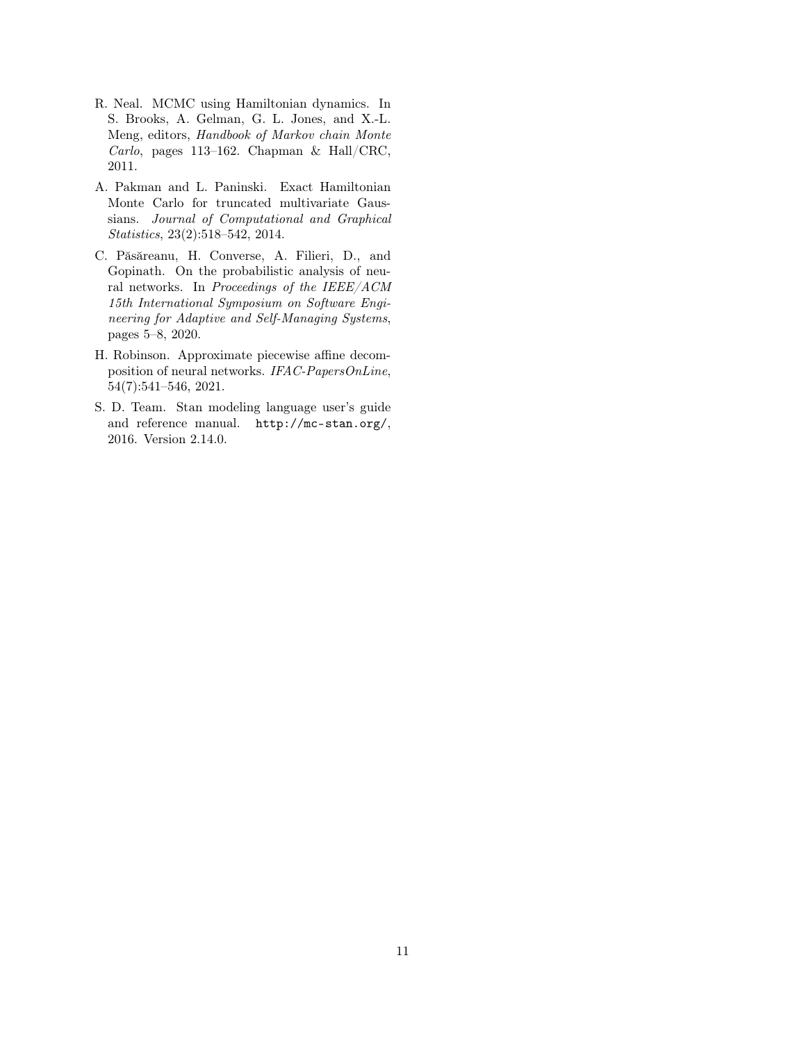- <span id="page-10-3"></span>R. Neal. MCMC using Hamiltonian dynamics. In S. Brooks, A. Gelman, G. L. Jones, and X.-L. Meng, editors, Handbook of Markov chain Monte Carlo, pages 113–162. Chapman & Hall/CRC, 2011.
- <span id="page-10-2"></span>A. Pakman and L. Paninski. Exact Hamiltonian Monte Carlo for truncated multivariate Gaussians. Journal of Computational and Graphical Statistics, 23(2):518–542, 2014.
- <span id="page-10-0"></span>C. Păsăreanu, H. Converse, A. Filieri, D., and Gopinath. On the probabilistic analysis of neural networks. In Proceedings of the IEEE/ACM 15th International Symposium on Software Engineering for Adaptive and Self-Managing Systems, pages 5–8, 2020.
- <span id="page-10-1"></span>H. Robinson. Approximate piecewise affine decomposition of neural networks. IFAC-PapersOnLine, 54(7):541–546, 2021.
- <span id="page-10-4"></span>S. D. Team. Stan modeling language user's guide and reference manual. <http://mc-stan.org/>, 2016. Version 2.14.0.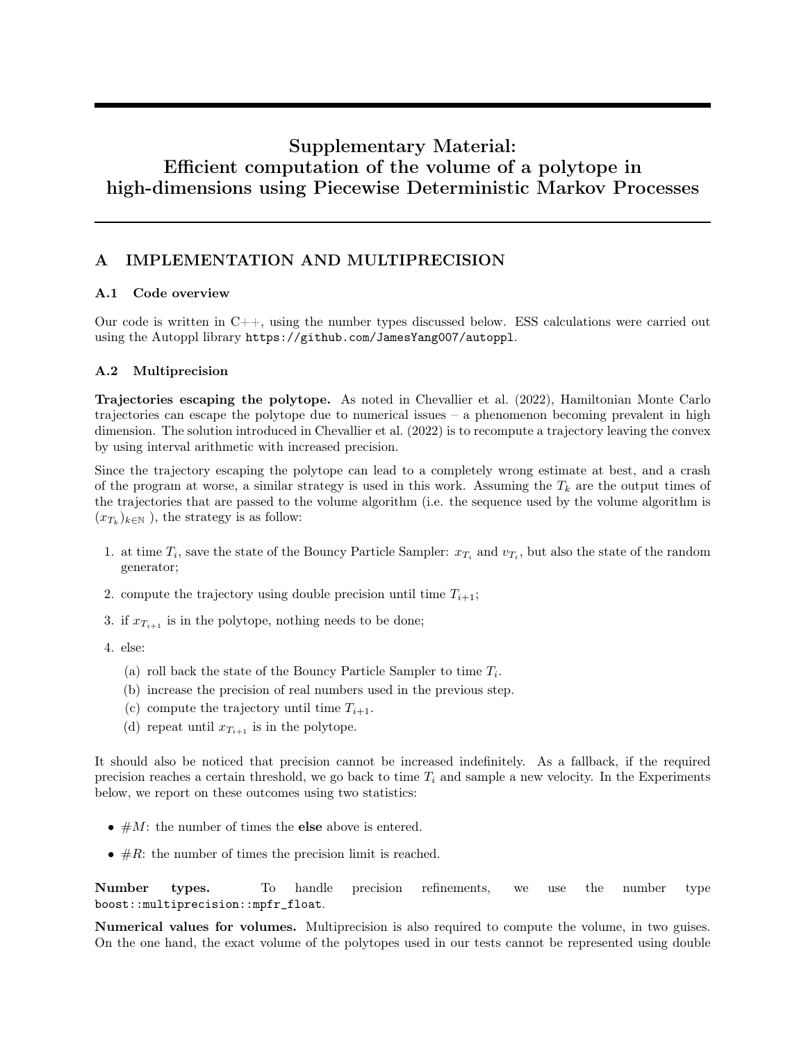# Supplementary Material: Efficient computation of the volume of a polytope in high-dimensions using Piecewise Deterministic Markov Processes

# <span id="page-11-0"></span>A IMPLEMENTATION AND MULTIPRECISION

# A.1 Code overview

Our code is written in C++, using the number types discussed below. ESS calculations were carried out using the Autoppl library <https://github.com/JamesYang007/autoppl>.

## A.2 Multiprecision

Trajectories escaping the polytope. As noted in [Chevallier et al.](#page-9-14) [\(2022\)](#page-9-14), Hamiltonian Monte Carlo trajectories can escape the polytope due to numerical issues – a phenomenon becoming prevalent in high dimension. The solution introduced in [Chevallier et al.](#page-9-14) [\(2022\)](#page-9-14) is to recompute a trajectory leaving the convex by using interval arithmetic with increased precision.

Since the trajectory escaping the polytope can lead to a completely wrong estimate at best, and a crash of the program at worse, a similar strategy is used in this work. Assuming the  $T_k$  are the output times of the trajectories that are passed to the volume algorithm (i.e. the sequence used by the volume algorithm is  $(x_{T_k})_{k \in \mathbb{N}}$ ), the strategy is as follow:

- 1. at time  $T_i$ , save the state of the Bouncy Particle Sampler:  $x_{T_i}$  and  $v_{T_i}$ , but also the state of the random generator;
- 2. compute the trajectory using double precision until time  $T_{i+1}$ ;
- 3. if  $x_{T_{i+1}}$  is in the polytope, nothing needs to be done;
- 4. else:
	- (a) roll back the state of the Bouncy Particle Sampler to time  $T_i$ .
	- (b) increase the precision of real numbers used in the previous step.
	- (c) compute the trajectory until time  $T_{i+1}$ .
	- (d) repeat until  $x_{T_{i+1}}$  is in the polytope.

It should also be noticed that precision cannot be increased indefinitely. As a fallback, if the required precision reaches a certain threshold, we go back to time  $T_i$  and sample a new velocity. In the Experiments below, we report on these outcomes using two statistics:

- $#M$ : the number of times the **else** above is entered.
- $\#R$ : the number of times the precision limit is reached.

Number types. To handle precision refinements, we use the number type boost::multiprecision::mpfr\_float.

Numerical values for volumes. Multiprecision is also required to compute the volume, in two guises. On the one hand, the exact volume of the polytopes used in our tests cannot be represented using double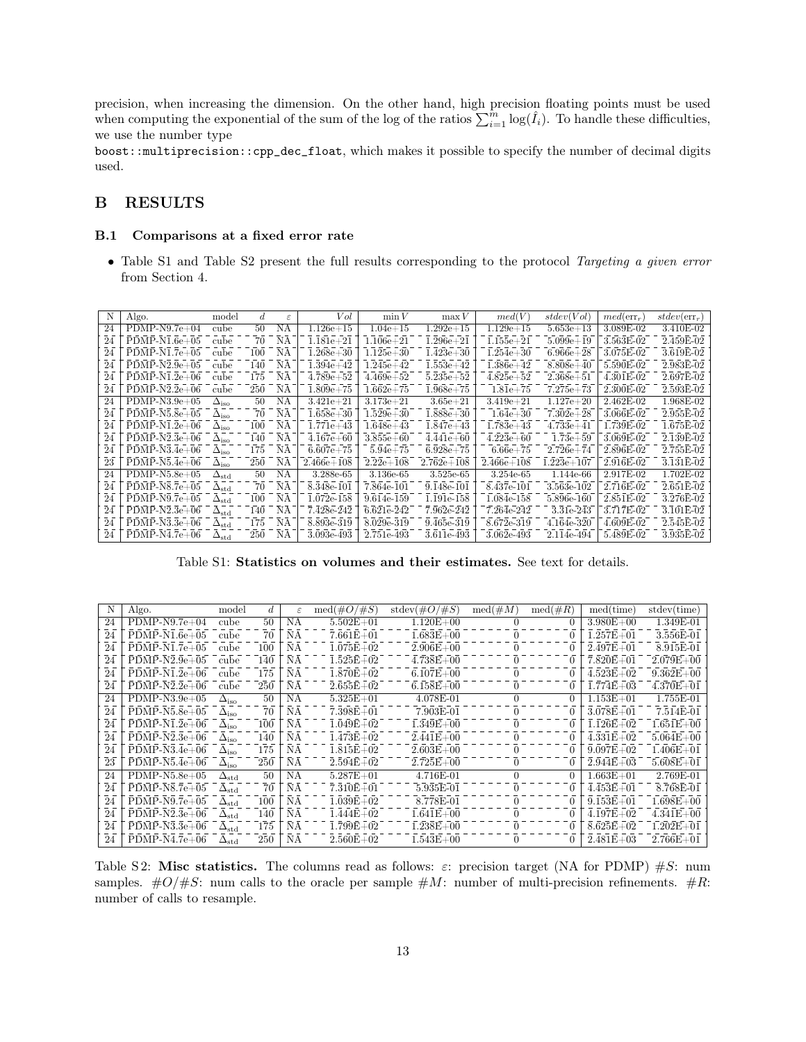precision, when increasing the dimension. On the other hand, high precision floating points must be used when computing the exponential of the sum of the log of the ratios  $\sum_{i=1}^{m} \log(\hat{I}_i)$ . To handle these difficulties, we use the number type

boost::multiprecision::cpp\_dec\_float, which makes it possible to specify the number of decimal digits used.

# B RESULTS

#### B.1 Comparisons at a fixed error rate

• Table [S1](#page-12-0) and Table [S2](#page-12-1) present the full results corresponding to the protocol Targeting a given error from Section [4.](#page-5-0)

<span id="page-12-0"></span>

| N  | Algo.           | model                   | d.  | $\epsilon$ | Vol                    | $\min V$      | $\max V$       | med(V)         | stdev(Vol)    | $med(\text{err}_{r})$ | $stdev(\text{err}_{r})$ |
|----|-----------------|-------------------------|-----|------------|------------------------|---------------|----------------|----------------|---------------|-----------------------|-------------------------|
| 24 | $PDMP-N9.7e+04$ | cube                    | 50  | NA         | $1.126e + 15$          | $1.04e + 15$  | $1.292e+15$    | $1.129e + 15$  | $5.653e + 13$ | 3.089E-02             | 3.410E-02               |
| 24 | $PDMP-N1.6e+05$ | cube                    | 70  | NΑ         | $1.181e + 21$          | $1.106e + 21$ | $1.296e + 21$  | $1.155e + 21$  | $5.099e + 19$ | 3.563E-02             | 2.459E-02               |
| 24 | $PDMP-N1.7e+05$ | cube                    | 100 | NA         | $1.268e + 30$          | $1.125e + 30$ | $1.423e + 30$  | $1.254e + 30$  | $6.966e + 28$ | 3.075E-02             | 3.619E-02               |
| 24 | $PDMP-N2.9e+05$ | cube                    | 140 | NА         | $1.394\mathrm{e}{+42}$ | $1.245e + 42$ | $1.553e + 42$  | $1.386e + 42$  | $8.808e + 40$ | 5.590E-02             | 2.983E-02               |
| 24 | $PDMP-N1.2e+06$ | cube                    | 175 | NА         | $4.789e + 52$          | $4.469e + 52$ | $5.235e + 52$  | $4.825e + 52$  | $2.368e + 51$ | 4.301E-02             | 2.697E-02               |
| 24 | $PDMP-N2.2e+06$ | cube                    | 250 | NA         | $1.809e+75$            | $1.662e+75$   | $1.968e + 75$  | $1.81e+75$     | $7.275e + 73$ | 2.300E-02             | 2.593E-02               |
| 24 | $PDMP-N3.9e+05$ | $\Delta_{\rm iso}$      | 50  | ΝA         | $3.421e + 21$          | $3.173e + 21$ | $3.65e + 21$   | $3.419e + 21$  | $1.127e + 20$ | $2.462E-02$           | 1.968E-02               |
| 24 | $PDMP-N5.8e+05$ | $\Delta_{\rm iso}$      | 70  | NA         | $1.658e + 30$          | $1.529e + 30$ | $1.888e + 30$  | $1.64e + 30$   | $7.302e + 28$ | 3.066E-02             | 2.955E-02               |
| 24 | $PDMP-N1.2e+06$ | $\Delta_{\rm iso}$      | 100 | NА         | $1.771e + 43$          | $1.648e + 43$ | $1.847e + 43$  | $1.783e + 43$  | $4.733e + 41$ | 1.739E-02             | 1.675E-02               |
| 24 | $PDMP-N2.3e+06$ | $\Delta_{\rm iso}$      | 140 | NA         | $4.167e + 60$          | $3.855e + 60$ | $4.441e + 60$  | $4.223e + 60$  | $1.73e+59$    | 3.069E-02             | 2.139E-02               |
| 24 | $PDMP-N3.4e+06$ | $\Delta_{\rm iso}$      | 175 | NA         | $6.607e + 75$          | $5.94e + 75$  | $6.928e + 75$  | $6.66e + 75$   | $2.726e + 74$ | 2.896E-02             | 2.755E-02               |
| 23 | $PDMP-N5.4e+06$ | $\Delta_{\rm iso}$      | 250 | NА         | $2.466e+108$           | $2.22e+108$   | $2.762e + 108$ | $2.466e + 108$ | $1.223e+107$  | 2.916E-02             | 3.131E-02               |
| 24 | $PDMP-N5.8e+05$ | $\Delta_{\rm std}$      | 50  | NA         | 3.288e-65              | 3.136e-65     | 3.525e-65      | 3.254e-65      | 1.144e-66     | 2.917E-02             | 1.702E-02               |
| 24 | $PDMP-NS.7e+05$ | $\Delta_{\rm std}$      | 70  | NΑ         | 8.348e-101             | 7.864e-101    | 9.148e-101     | 8.437e-101     | 3.563e-102    | 2.716E-02             | 2.651E-02               |
| 24 | $PDMP-N9.7e+05$ | $\Delta_{\mathrm{std}}$ | 100 | NА         | 1.072e-158             | 9.614e-159    | 1.191e-158     | 1.084e-158     | 5.896e-160    | 2.851E-02             | 3.276E-02               |
| 24 | $PDMP-N2.3e+06$ | $\Delta_{\mathrm{std}}$ | 140 | ΝA         | 7.428e-242             | 6.621e-242    | 7.962e-242     | 7.264e-242     | 3.31e-243     | 3.717E-02             | 3.101E-02               |
| 24 | $PDMP-N3.3e+06$ | $\Delta_{\rm std}$      | 175 | NΑ         | 8.893e-319             | 8.029e-319    | 9.465e-319     | 8.672e-319     | 4.164e-320    | 4.609E-02             | 2.545E-02               |
| 24 | $PDMP-N4.7e+06$ | $\Delta_{\mathrm{std}}$ | 250 | NΑ         | 3.093e-493             | 2.751e-493    | 3.611e-493     | 3.062e-493     | 2.114e-494    | 5.489E-02             | 3.935E-02               |

Table S1: Statistics on volumes and their estimates. See text for details.

<span id="page-12-1"></span>

| N  | Algo.           | model                   | d   | $\varepsilon$ | $\text{med}(\#O/\#S)$ | stdev $(\#O/\#S)$ | $\text{med}(\#M)$ | $\text{med}(\#R)$ | med(time)     | stdev(time)   |
|----|-----------------|-------------------------|-----|---------------|-----------------------|-------------------|-------------------|-------------------|---------------|---------------|
| 24 | $PDMP-N9.7e+04$ | cube                    | 50  | NA            | $5.502E + 01$         | $1.120E + 00$     |                   | $\theta$          | $3.980E + 00$ | 1.349E-01     |
| 24 | $PDMP-N1.6e+05$ | cube                    | 70  | NA            | $7.661E + 01$         | $1.683E + 00$     |                   | $\theta$          | $1.257E + 01$ | 3.556E-01     |
| 24 | $PDMP-N1.7e+05$ | cube                    | 100 | NA            | $1.075E + 02$         | $2.906E + 00$     |                   | $\theta$          | $2.497E + 01$ | 8.915E-01     |
| 24 | $PDMP-N2.9e+05$ | cube                    | 140 | NA            | $1.525E+02$           | $4.738E + 00$     |                   | 0                 | $7.820E + 01$ | $2.079E + 00$ |
| 24 | $PDMP-N1.2e+06$ | cube                    | 175 | NA            | $1.870E + 02$         | $6.107E + 00$     |                   | 0                 | $4.523E+02$   | $9.362E + 00$ |
| 24 | $PDMP-N2.2e+06$ | cube                    | 250 | NA            | $2.655E+02$           | $6.158E + 00$     | $\theta$          | 0                 | $1.774E + 03$ | $4.370E + 01$ |
| 24 | $PDMP-N3.9e+05$ | $\Delta_{\rm iso}$      | 50  | ΝA            | $5.325E + 01$         | 4.078E-01         |                   | 0                 | $1.153E + 01$ | 1.755E-01     |
| 24 | $PDMP-N5.8e+05$ | $\Delta_{\rm iso}$      | 70  | NA            | $7.398E + 01$         | 7.903E-01         |                   | 0                 | $3.078E + 01$ | 7.514E-01     |
| 24 | $PDMP-N1.2e+06$ | $\Delta_{\rm iso}$      | 100 | ΝA            | $1.049E + 02$         | $1.349E + 00$     |                   | 0                 | $1.126E + 02$ | $1.651E + 00$ |
| 24 | $PDMP-N2.3e+06$ | $\Delta_{\rm iso}$      | 140 | ΝA            | $1.473E + 02$         | $2.441E + 00$     |                   | $\theta$          | $4.331E+02$   | $5.064E + 00$ |
| 24 | $PDMP-N3.4e+06$ | $\Delta_{\rm iso}$      | 175 | ΝA            | $1.815E+02$           | $2.603E + 00$     |                   | $\theta$          | $9.097E + 02$ | $1.406E + 01$ |
| 23 | $PDMP-N5.4e+06$ | $\Delta_{\rm iso}$      | 250 | ΝA            | $2.594E+02$           | $2.725E + 00$     | $\theta$          | $\theta$          | $2.944E+03$   | $5.608E + 01$ |
| 24 | $PDMP-N5.8e+05$ | $\Delta_{\mathrm{std}}$ | 50  | NA            | $5.287E + 01$         | 4.716E-01         |                   | $\Omega$          | $1.663E + 01$ | 2.769E-01     |
| 24 | $PDMP-NS.7e+05$ | $\Delta_{\mathrm{std}}$ | 70  | NA            | $7.310E + 01$         | 5.935E-01         |                   | 0                 | $4.453E + 01$ | 8.768E-01     |
| 24 | $PDMP-N9.7e+05$ | $\Delta_{\rm std}$      | 100 | ΝA            | $1.039E + 02$         | 8.778E-01         |                   | 0                 | $9.153E + 01$ | $1.698E + 00$ |
| 24 | $PDMP-N2.3e+06$ | $\Delta_{\rm std}$      | 140 | ΝA            | $1.444E + 02$         | $1.641E + 00$     |                   | 0                 | $4.197E + 02$ | $4.341E + 00$ |
| 24 | $PDMP-N3.3e+06$ | $\Delta_{\mathrm{std}}$ | 175 | NA            | $1.799E + 02$         | $1.238E + 00$     |                   | 0                 | $8.625E + 02$ | $1.202E + 01$ |
| 24 | $PDMP-N4.7e+06$ | $\Delta_{\mathrm{std}}$ | 250 | ΝA            | $2.560E + 02$         | $1.543E + 00$     |                   |                   | $2.481E+03$   | $2.766E + 01$ |

Table S2: Misc statistics. The columns read as follows:  $\varepsilon$ : precision target (NA for PDMP)  $\#S$ : num samples.  $\#O/\#S$ : num calls to the oracle per sample  $\#M$ : number of multi-precision refinements.  $\#R$ : number of calls to resample.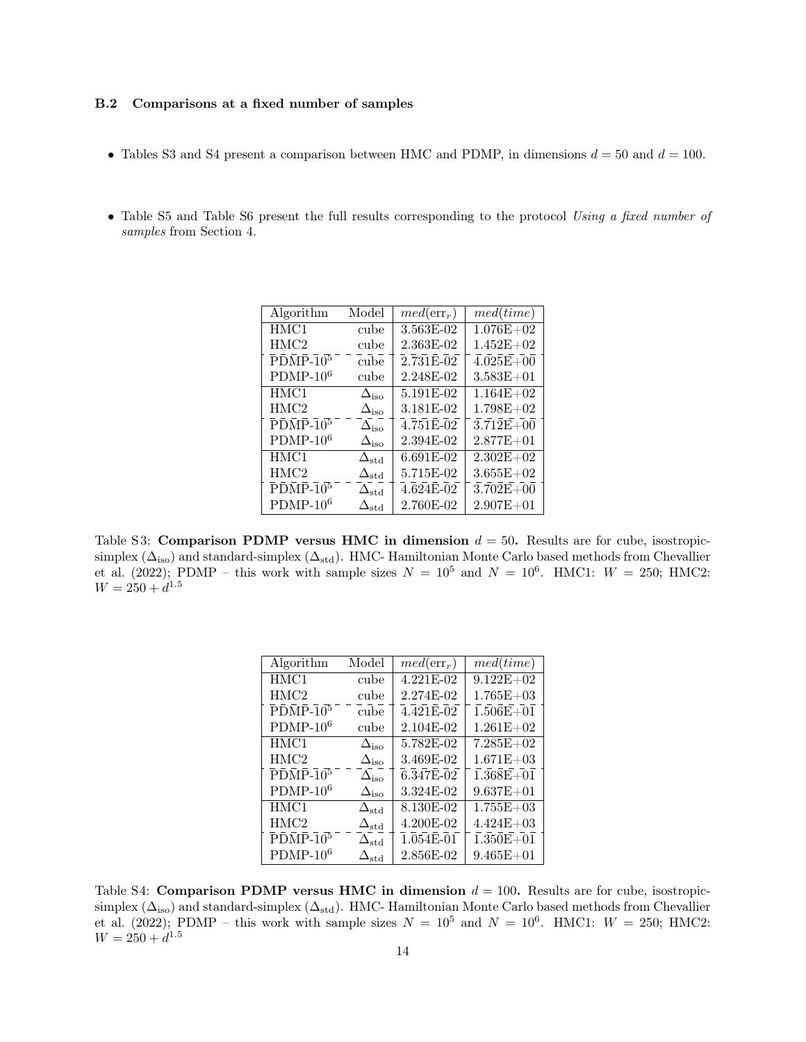#### B.2 Comparisons at a fixed number of samples

- Tables [S3](#page-13-0) and [S4](#page-13-1) present a comparison between HMC and PDMP, in dimensions  $d = 50$  and  $d = 100$ .
- <span id="page-13-0"></span>• Table [S5](#page-14-0) and Table [S6](#page-14-1) present the full results corresponding to the protocol Using a fixed number of samples from Section [4.](#page-5-0)

| Algorithm                                                                  | Model                       | $med(\text{err}_{r})$ | med (time)    |
|----------------------------------------------------------------------------|-----------------------------|-----------------------|---------------|
| HMC1                                                                       | cube                        | 3.563E-02             | $1.076E + 02$ |
| HMC2                                                                       | cube                        | 2.363E-02             | $1.452E + 02$ |
| $\bar{P}\bar{D}\bar{M}\bar{P}\bar{-1}\bar{0}^5$                            | cube                        | $2.731E-02$           | $4.025E + 00$ |
| $PDMP-106$                                                                 | cube                        | 2.248E-02             | $3.583E + 01$ |
| HMC1                                                                       | $\Delta_{\rm iso}$          | 5.191E-02             | $1.164E + 02$ |
| HMC2                                                                       | $\Delta_{\rm iso}$          | 3.181E-02             | $1.798E + 02$ |
| $\overline{P}\overline{D}\overline{M}\overline{P}\overline{A}\overline{0}$ | $\Delta_{\rm iso}$          | 4.751E-02             | $3.712E + 00$ |
| $PDMP-106$                                                                 | $\Delta_{\rm iso}$          | 2.394E-02             | $2.877E + 01$ |
| HMC1                                                                       | $\Delta_{\text{std}}$       | 6.691E-02             | $2.302E + 02$ |
| HMC2                                                                       | $\Delta_{\text{std}}$       | 5.715E-02             | $3.655E + 02$ |
| $\overline{P}\overline{D}\overline{M}\overline{P}\overline{P}$             | $\Delta_{\rm std}$          | 4.624E-02             | $3.702E + 00$ |
| $PDMP-106$                                                                 | $\mathbf{h}_{\mathrm{std}}$ | 2.760E-02             | $2.907E + 01$ |

<span id="page-13-1"></span>Table S3: Comparison PDMP versus HMC in dimension  $d = 50$ . Results are for cube, isostropicsimplex  $(\Delta_{\text{iso}})$  and standard-simplex  $(\Delta_{\text{std}})$ . HMC- Hamiltonian Monte Carlo based methods from [Chevallier](#page-9-14) [et al.](#page-9-14) [\(2022\)](#page-9-14); PDMP – this work with sample sizes  $N = 10^5$  and  $N = 10^6$ . HMC1:  $W = 250$ ; HMC2:  $W = 250 + d^{1.5}$ 

| Algorithm                                                      | Model                   | $med(\text{err}_{r})$  | med(time)     |
|----------------------------------------------------------------|-------------------------|------------------------|---------------|
| HMC1                                                           | cube                    | 4.221E-02              | $9.122E + 02$ |
| HMC2                                                           | cube                    | 2.274E-02              | $1.765E + 03$ |
| $\bar{P}\bar{D}\bar{M}\bar{P}\bar{-1}\bar{0}^5$                | cube                    | $4.\overline{421E-02}$ | $1.506E + 01$ |
| $PDMP-106$                                                     | cube                    | 2.104E-02              | $1.261E + 02$ |
| HMC1                                                           | $\Delta_{\rm iso}$      | 5.782E-02              | $7.285E+02$   |
| HMC2                                                           | $\Delta_{\rm iso}$      | 3.469E-02              | $1.671E + 03$ |
| $\overline{P}\overline{D}\overline{M}\overline{P}\overline{P}$ | $\Delta_{\rm iso}$      | $6.\overline{347E-02}$ | $1.368E + 01$ |
| $PDMP-106$                                                     | $\Delta_{\rm iso}$      | 3.324E-02              | $9.637E + 01$ |
| HMC1                                                           | $\Delta_{\text{std}}$   | 8.130E-02              | $1.755E + 03$ |
| HMC2                                                           | $\Delta_{\mathrm{std}}$ | 4.200E-02              | $4.424E + 03$ |
| $\bar{P}\bar{D}\bar{M}\bar{P}\bar{-1}\bar{0}^5$                | $\Delta_{\text{std}}$   | $1.054E-01$            | $1.350E + 01$ |
| $PDMP-106$                                                     | $\Delta_{\rm std}$      | 2.856E-02              | $9.465E + 01$ |
|                                                                |                         |                        |               |

Table S4: Comparison PDMP versus HMC in dimension  $d = 100$ . Results are for cube, isostropicsimplex  $(\Delta_{\text{iso}})$  and standard-simplex  $(\Delta_{\text{std}})$ . HMC- Hamiltonian Monte Carlo based methods from [Chevallier](#page-9-14) [et al.](#page-9-14) [\(2022\)](#page-9-14); PDMP – this work with sample sizes  $N = 10^5$  and  $N = 10^6$ . HMC1:  $W = 250$ ; HMC2:  $W = 250 + d^{1.5}$